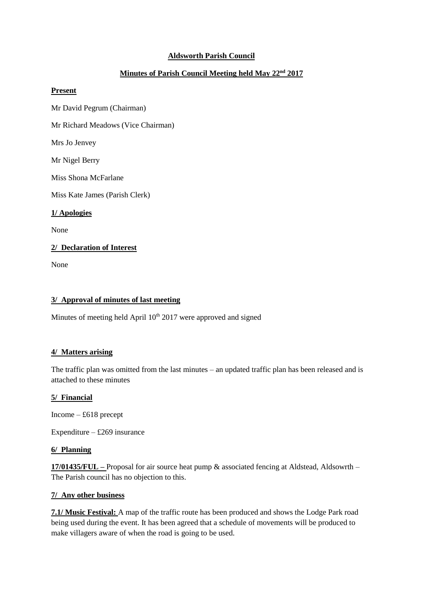## **Aldsworth Parish Council**

# **Minutes of Parish Council Meeting held May 22nd 2017**

### **Present**

Mr David Pegrum (Chairman)

Mr Richard Meadows (Vice Chairman)

Mrs Jo Jenvey

Mr Nigel Berry

Miss Shona McFarlane

Miss Kate James (Parish Clerk)

**1/ Apologies**

None

### **2/ Declaration of Interest**

None

### **3/ Approval of minutes of last meeting**

Minutes of meeting held April  $10<sup>th</sup> 2017$  were approved and signed

### **4/ Matters arising**

The traffic plan was omitted from the last minutes – an updated traffic plan has been released and is attached to these minutes

#### **5/ Financial**

Income – £618 precept

Expenditure –  $£269$  insurance

### **6/ Planning**

**17/01435/FUL –** Proposal for air source heat pump & associated fencing at Aldstead, Aldsowrth – The Parish council has no objection to this.

### **7/ Any other business**

**7.1/ Music Festival:** A map of the traffic route has been produced and shows the Lodge Park road being used during the event. It has been agreed that a schedule of movements will be produced to make villagers aware of when the road is going to be used.